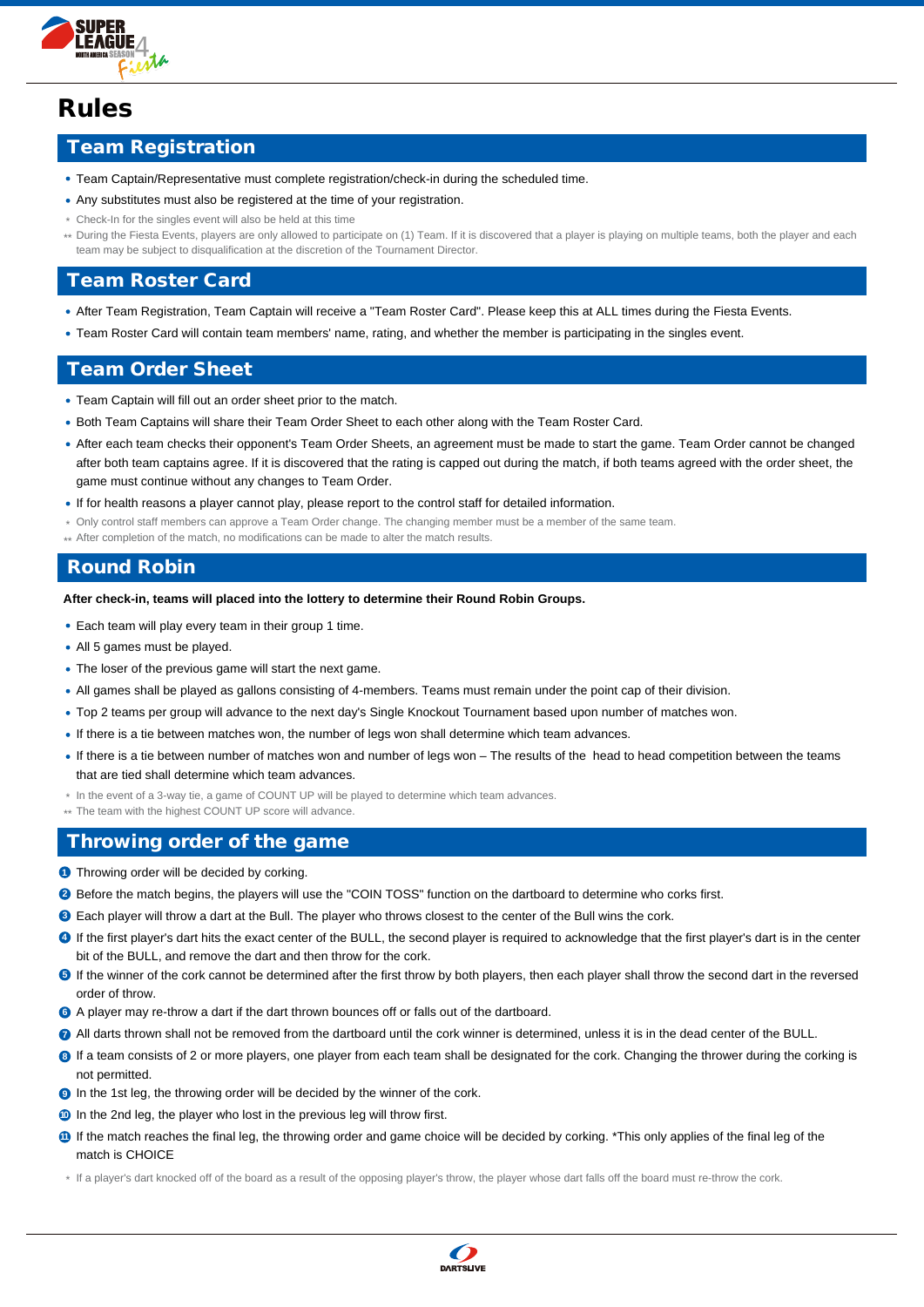

# Rules

## Team Registration

- Team Captain/Representative must complete registration/check-in during the scheduled time.
- Any substitutes must also be registered at the time of your registration.
- Check-In for the singles event will also be held at this time \*
- During the Fiesta Events, players are only allowed to participate on (1) Team. If it is discovered that a player is playing on multiple teams, both the player and each \*\* team may be subject to disqualification at the discretion of the Tournament Director.

#### Team Roster Card

- After Team Registration, Team Captain will receive a "Team Roster Card". Please keep this at ALL times during the Fiesta Events.
- Team Roster Card will contain team members' name, rating, and whether the member is participating in the singles event.

## Team Order Sheet

- Team Captain will fill out an order sheet prior to the match.
- Both Team Captains will share their Team Order Sheet to each other along with the Team Roster Card.
- After each team checks their opponent's Team Order Sheets, an agreement must be made to start the game. Team Order cannot be changed after both team captains agree. If it is discovered that the rating is capped out during the match, if both teams agreed with the order sheet, the game must continue without any changes to Team Order.
- If for health reasons a player cannot play, please report to the control staff for detailed information.
- Only control staff members can approve a Team Order change. The changing member must be a member of the same team. \*
- \*\* After completion of the match, no modifications can be made to alter the match results.

#### Round Robin

**After check-in, teams will placed into the lottery to determine their Round Robin Groups.**

Each team will play every team in their group 1 time.

- All 5 games must be played.
- The loser of the previous game will start the next game.
- All games shall be played as gallons consisting of 4-members. Teams must remain under the point cap of their division.
- Top 2 teams per group will advance to the next day's Single Knockout Tournament based upon number of matches won.
- If there is a tie between matches won, the number of legs won shall determine which team advances.
- If there is a tie between number of matches won and number of legs won The results of the head to head competition between the teams that are tied shall determine which team advances.
- In the event of a 3-way tie, a game of COUNT UP will be played to determine which team advances. \*
- \*\* The team with the highest COUNT UP score will advance.

## Throwing order of the game

- **1** Throwing order will be decided by corking.
- 2 Before the match begins, the players will use the "COIN TOSS" function on the dartboard to determine who corks first.
- Each player will throw a dart at the Bull. The player who throws closest to the center of the Bull wins the cork. **3**
- If the first player's dart hits the exact center of the BULL, the second player is required to acknowledge that the first player's dart is in the center bit of the BULL, and remove the dart and then throw for the cork.
- **F** If the winner of the cork cannot be determined after the first throw by both players, then each player shall throw the second dart in the reversed order of throw.
- **6** A player may re-throw a dart if the dart thrown bounces off or falls out of the dartboard.
- **7** All darts thrown shall not be removed from the dartboard until the cork winner is determined, unless it is in the dead center of the BULL.
- **8** If a team consists of 2 or more players, one player from each team shall be designated for the cork. Changing the thrower during the corking is not permitted.
- **9** In the 1st leg, the throwing order will be decided by the winner of the cork.
- **10** In the 2nd leg, the player who lost in the previous leg will throw first.
- **1** If the match reaches the final leg, the throwing order and game choice will be decided by corking. \*This only applies of the final leg of the match is CHOICE

\* If a player's dart knocked off of the board as a result of the opposing player's throw, the player whose dart falls off the board must re-throw the cork.